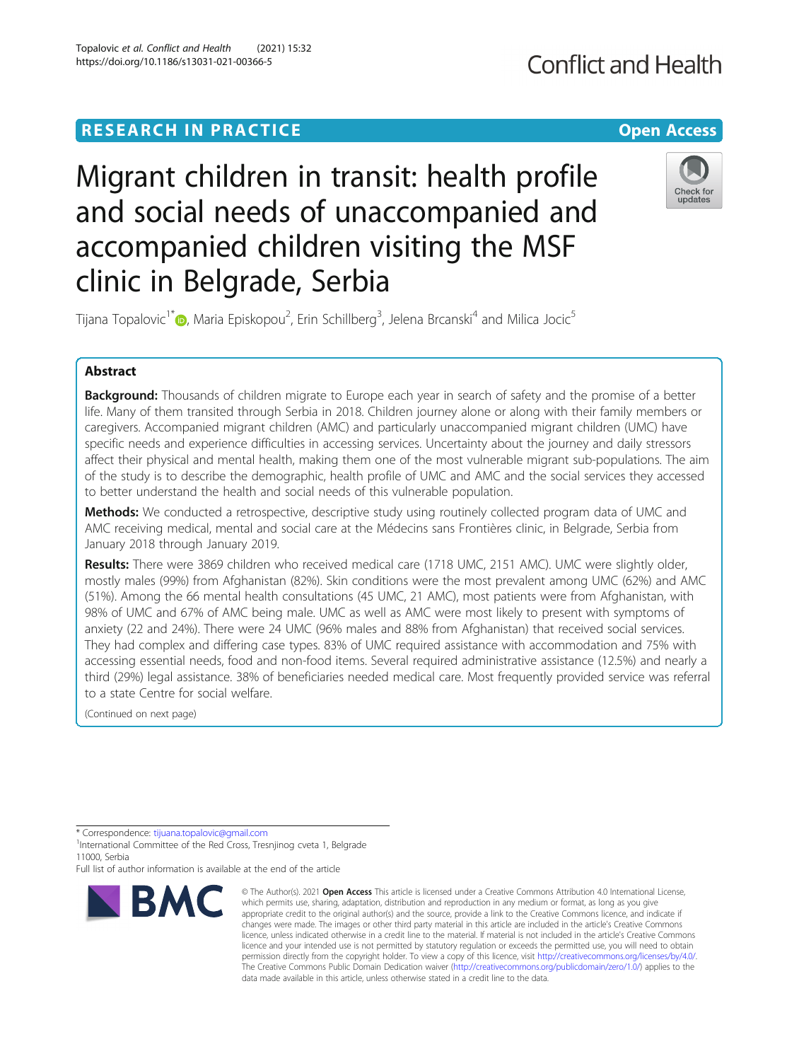# **RESEARCH IN PRACTICE Example 20 and 20 and 20 and 20 and 20 and 20 and 20 and 20 and 20 and 20 and 20 and 20 and 20 and 20 and 20 and 20 and 20 and 20 and 20 and 20 and 20 and 20 and 20 and 20 and 20 and 20 and 20 and 2**

# **Conflict and Health**



clinic in Belgrade, Serbia Tijana Topalovic<sup>1\*</sup>�, Maria Episkopou<sup>2</sup>, Erin Schillberg<sup>3</sup>, Jelena Brcanski<sup>4</sup> and Milica Jocic<sup>5</sup>

accompanied children visiting the MSF

Migrant children in transit: health profile

and social needs of unaccompanied and

# Abstract

Background: Thousands of children migrate to Europe each year in search of safety and the promise of a better life. Many of them transited through Serbia in 2018. Children journey alone or along with their family members or caregivers. Accompanied migrant children (AMC) and particularly unaccompanied migrant children (UMC) have specific needs and experience difficulties in accessing services. Uncertainty about the journey and daily stressors affect their physical and mental health, making them one of the most vulnerable migrant sub-populations. The aim of the study is to describe the demographic, health profile of UMC and AMC and the social services they accessed to better understand the health and social needs of this vulnerable population.

Methods: We conducted a retrospective, descriptive study using routinely collected program data of UMC and AMC receiving medical, mental and social care at the Médecins sans Frontières clinic, in Belgrade, Serbia from January 2018 through January 2019.

Results: There were 3869 children who received medical care (1718 UMC, 2151 AMC). UMC were slightly older, mostly males (99%) from Afghanistan (82%). Skin conditions were the most prevalent among UMC (62%) and AMC (51%). Among the 66 mental health consultations (45 UMC, 21 AMC), most patients were from Afghanistan, with 98% of UMC and 67% of AMC being male. UMC as well as AMC were most likely to present with symptoms of anxiety (22 and 24%). There were 24 UMC (96% males and 88% from Afghanistan) that received social services. They had complex and differing case types. 83% of UMC required assistance with accommodation and 75% with accessing essential needs, food and non-food items. Several required administrative assistance (12.5%) and nearly a third (29%) legal assistance. 38% of beneficiaries needed medical care. Most frequently provided service was referral to a state Centre for social welfare.

(Continued on next page)

Full list of author information is available at the end of the article



<sup>©</sup> The Author(s), 2021 **Open Access** This article is licensed under a Creative Commons Attribution 4.0 International License, which permits use, sharing, adaptation, distribution and reproduction in any medium or format, as long as you give appropriate credit to the original author(s) and the source, provide a link to the Creative Commons licence, and indicate if changes were made. The images or other third party material in this article are included in the article's Creative Commons licence, unless indicated otherwise in a credit line to the material. If material is not included in the article's Creative Commons licence and your intended use is not permitted by statutory regulation or exceeds the permitted use, you will need to obtain permission directly from the copyright holder. To view a copy of this licence, visit [http://creativecommons.org/licenses/by/4.0/.](http://creativecommons.org/licenses/by/4.0/) The Creative Commons Public Domain Dedication waiver [\(http://creativecommons.org/publicdomain/zero/1.0/](http://creativecommons.org/publicdomain/zero/1.0/)) applies to the data made available in this article, unless otherwise stated in a credit line to the data.

<sup>\*</sup> Correspondence: [tijuana.topalovic@gmail.com](mailto:tijuana.topalovic@gmail.com) <sup>1</sup>

<sup>&</sup>lt;sup>1</sup>International Committee of the Red Cross, Tresnjinog cveta 1, Belgrade 11000, Serbia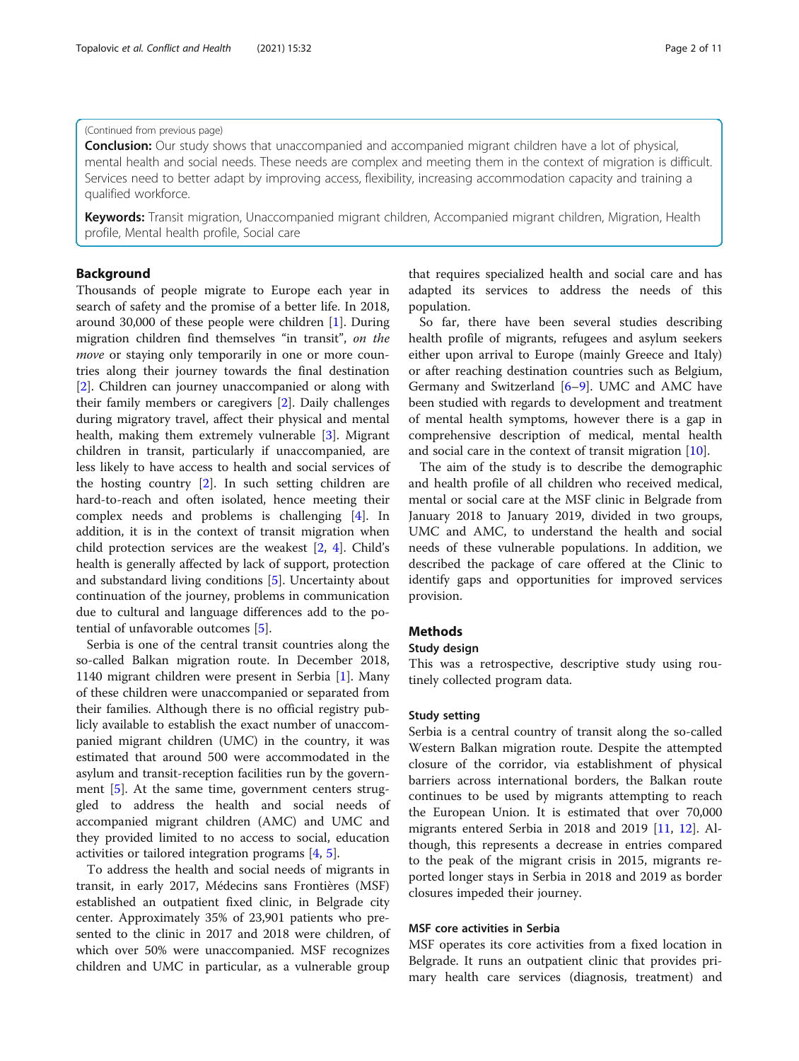# (Continued from previous page)

**Conclusion:** Our study shows that unaccompanied and accompanied migrant children have a lot of physical, mental health and social needs. These needs are complex and meeting them in the context of migration is difficult. Services need to better adapt by improving access, flexibility, increasing accommodation capacity and training a qualified workforce.

Keywords: Transit migration, Unaccompanied migrant children, Accompanied migrant children, Migration, Health profile, Mental health profile, Social care

# Background

Thousands of people migrate to Europe each year in search of safety and the promise of a better life. In 2018, around 30,000 of these people were children [\[1](#page-9-0)]. During migration children find themselves "in transit", on the move or staying only temporarily in one or more countries along their journey towards the final destination [[2\]](#page-10-0). Children can journey unaccompanied or along with their family members or caregivers [[2\]](#page-10-0). Daily challenges during migratory travel, affect their physical and mental health, making them extremely vulnerable [[3\]](#page-10-0). Migrant children in transit, particularly if unaccompanied, are less likely to have access to health and social services of the hosting country [\[2](#page-10-0)]. In such setting children are hard-to-reach and often isolated, hence meeting their complex needs and problems is challenging [[4\]](#page-10-0). In addition, it is in the context of transit migration when child protection services are the weakest [[2,](#page-10-0) [4\]](#page-10-0). Child's health is generally affected by lack of support, protection and substandard living conditions [[5](#page-10-0)]. Uncertainty about continuation of the journey, problems in communication due to cultural and language differences add to the potential of unfavorable outcomes [\[5](#page-10-0)].

Serbia is one of the central transit countries along the so-called Balkan migration route. In December 2018, 1140 migrant children were present in Serbia [\[1](#page-9-0)]. Many of these children were unaccompanied or separated from their families. Although there is no official registry publicly available to establish the exact number of unaccompanied migrant children (UMC) in the country, it was estimated that around 500 were accommodated in the asylum and transit-reception facilities run by the government [\[5](#page-10-0)]. At the same time, government centers struggled to address the health and social needs of accompanied migrant children (AMC) and UMC and they provided limited to no access to social, education activities or tailored integration programs [\[4](#page-10-0), [5](#page-10-0)].

To address the health and social needs of migrants in transit, in early 2017, Médecins sans Frontières (MSF) established an outpatient fixed clinic, in Belgrade city center. Approximately 35% of 23,901 patients who presented to the clinic in 2017 and 2018 were children, of which over 50% were unaccompanied. MSF recognizes children and UMC in particular, as a vulnerable group

that requires specialized health and social care and has adapted its services to address the needs of this population.

So far, there have been several studies describing health profile of migrants, refugees and asylum seekers either upon arrival to Europe (mainly Greece and Italy) or after reaching destination countries such as Belgium, Germany and Switzerland [\[6](#page-10-0)–[9\]](#page-10-0). UMC and AMC have been studied with regards to development and treatment of mental health symptoms, however there is a gap in comprehensive description of medical, mental health and social care in the context of transit migration [\[10](#page-10-0)].

The aim of the study is to describe the demographic and health profile of all children who received medical, mental or social care at the MSF clinic in Belgrade from January 2018 to January 2019, divided in two groups, UMC and AMC, to understand the health and social needs of these vulnerable populations. In addition, we described the package of care offered at the Clinic to identify gaps and opportunities for improved services provision.

# **Methods**

# Study design

This was a retrospective, descriptive study using routinely collected program data.

# Study setting

Serbia is a central country of transit along the so-called Western Balkan migration route. Despite the attempted closure of the corridor, via establishment of physical barriers across international borders, the Balkan route continues to be used by migrants attempting to reach the European Union. It is estimated that over 70,000 migrants entered Serbia in 2018 and 2019 [\[11](#page-10-0), [12](#page-10-0)]. Although, this represents a decrease in entries compared to the peak of the migrant crisis in 2015, migrants reported longer stays in Serbia in 2018 and 2019 as border closures impeded their journey.

# MSF core activities in Serbia

MSF operates its core activities from a fixed location in Belgrade. It runs an outpatient clinic that provides primary health care services (diagnosis, treatment) and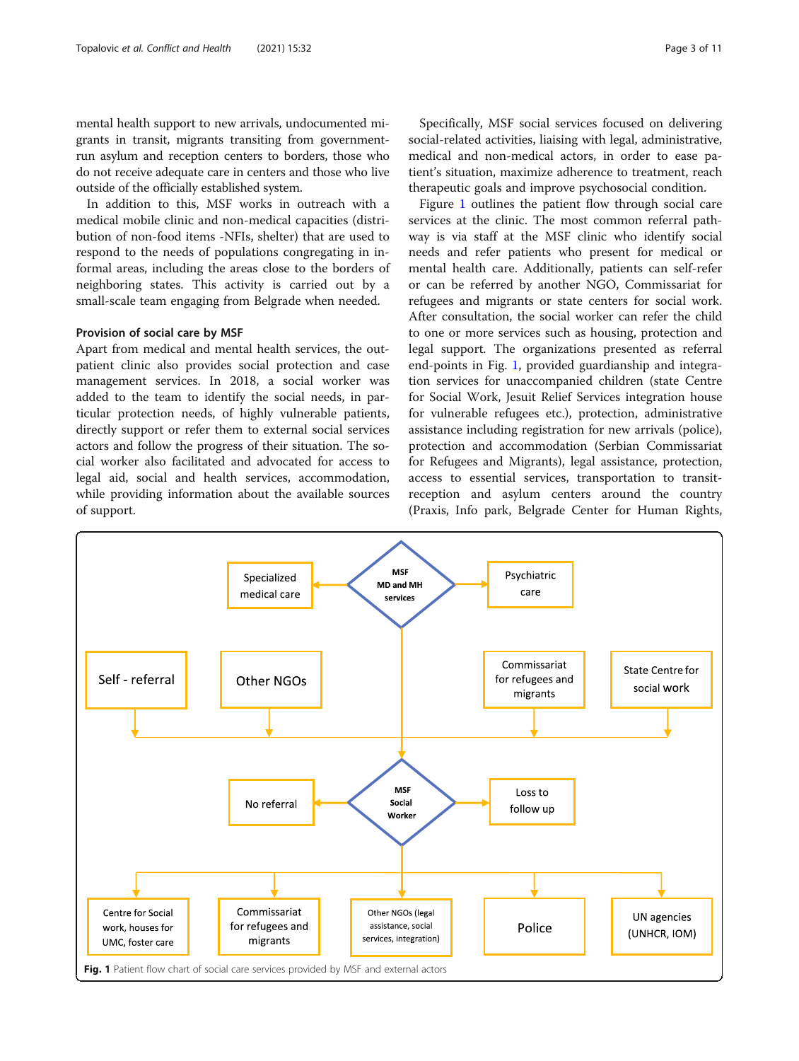mental health support to new arrivals, undocumented migrants in transit, migrants transiting from governmentrun asylum and reception centers to borders, those who do not receive adequate care in centers and those who live outside of the officially established system.

In addition to this, MSF works in outreach with a medical mobile clinic and non-medical capacities (distribution of non-food items -NFIs, shelter) that are used to respond to the needs of populations congregating in informal areas, including the areas close to the borders of neighboring states. This activity is carried out by a small-scale team engaging from Belgrade when needed.

# Provision of social care by MSF

Apart from medical and mental health services, the outpatient clinic also provides social protection and case management services. In 2018, a social worker was added to the team to identify the social needs, in particular protection needs, of highly vulnerable patients, directly support or refer them to external social services actors and follow the progress of their situation. The social worker also facilitated and advocated for access to legal aid, social and health services, accommodation, while providing information about the available sources of support.

Specifically, MSF social services focused on delivering social-related activities, liaising with legal, administrative, medical and non-medical actors, in order to ease patient's situation, maximize adherence to treatment, reach therapeutic goals and improve psychosocial condition.

Figure 1 outlines the patient flow through social care services at the clinic. The most common referral pathway is via staff at the MSF clinic who identify social needs and refer patients who present for medical or mental health care. Additionally, patients can self-refer or can be referred by another NGO, Commissariat for refugees and migrants or state centers for social work. After consultation, the social worker can refer the child to one or more services such as housing, protection and legal support. The organizations presented as referral end-points in Fig. 1, provided guardianship and integration services for unaccompanied children (state Centre for Social Work, Jesuit Relief Services integration house for vulnerable refugees etc.), protection, administrative assistance including registration for new arrivals (police), protection and accommodation (Serbian Commissariat for Refugees and Migrants), legal assistance, protection, access to essential services, transportation to transitreception and asylum centers around the country (Praxis, Info park, Belgrade Center for Human Rights,

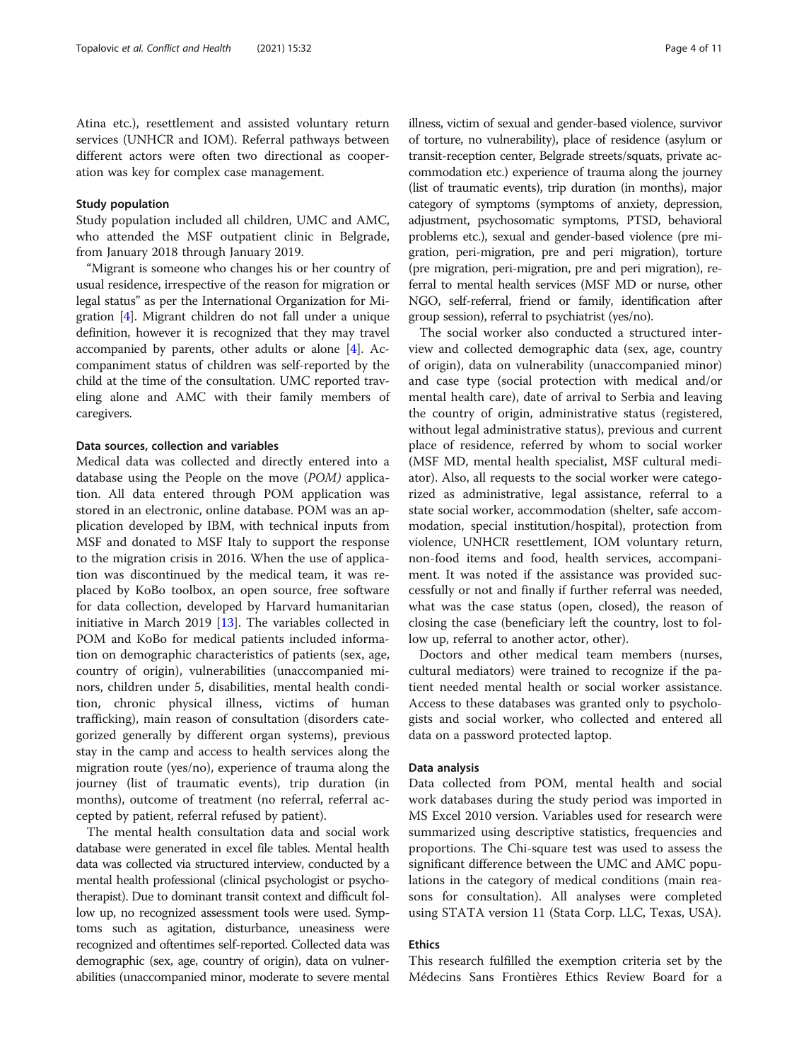Atina etc.), resettlement and assisted voluntary return services (UNHCR and IOM). Referral pathways between different actors were often two directional as cooperation was key for complex case management.

# Study population

Study population included all children, UMC and AMC, who attended the MSF outpatient clinic in Belgrade, from January 2018 through January 2019.

"Migrant is someone who changes his or her country of usual residence, irrespective of the reason for migration or legal status" as per the International Organization for Migration [\[4](#page-10-0)]. Migrant children do not fall under a unique definition, however it is recognized that they may travel accompanied by parents, other adults or alone [\[4](#page-10-0)]. Accompaniment status of children was self-reported by the child at the time of the consultation. UMC reported traveling alone and AMC with their family members of caregivers.

# Data sources, collection and variables

Medical data was collected and directly entered into a database using the People on the move (POM) application. All data entered through POM application was stored in an electronic, online database. POM was an application developed by IBM, with technical inputs from MSF and donated to MSF Italy to support the response to the migration crisis in 2016. When the use of application was discontinued by the medical team, it was replaced by KoBo toolbox, an open source, free software for data collection, developed by Harvard humanitarian initiative in March 2019 [[13](#page-10-0)]. The variables collected in POM and KoBo for medical patients included information on demographic characteristics of patients (sex, age, country of origin), vulnerabilities (unaccompanied minors, children under 5, disabilities, mental health condition, chronic physical illness, victims of human trafficking), main reason of consultation (disorders categorized generally by different organ systems), previous stay in the camp and access to health services along the migration route (yes/no), experience of trauma along the journey (list of traumatic events), trip duration (in months), outcome of treatment (no referral, referral accepted by patient, referral refused by patient).

The mental health consultation data and social work database were generated in excel file tables. Mental health data was collected via structured interview, conducted by a mental health professional (clinical psychologist or psychotherapist). Due to dominant transit context and difficult follow up, no recognized assessment tools were used. Symptoms such as agitation, disturbance, uneasiness were recognized and oftentimes self-reported. Collected data was demographic (sex, age, country of origin), data on vulnerabilities (unaccompanied minor, moderate to severe mental

illness, victim of sexual and gender-based violence, survivor of torture, no vulnerability), place of residence (asylum or transit-reception center, Belgrade streets/squats, private accommodation etc.) experience of trauma along the journey (list of traumatic events), trip duration (in months), major category of symptoms (symptoms of anxiety, depression, adjustment, psychosomatic symptoms, PTSD, behavioral problems etc.), sexual and gender-based violence (pre migration, peri-migration, pre and peri migration), torture (pre migration, peri-migration, pre and peri migration), referral to mental health services (MSF MD or nurse, other NGO, self-referral, friend or family, identification after

group session), referral to psychiatrist (yes/no).

The social worker also conducted a structured interview and collected demographic data (sex, age, country of origin), data on vulnerability (unaccompanied minor) and case type (social protection with medical and/or mental health care), date of arrival to Serbia and leaving the country of origin, administrative status (registered, without legal administrative status), previous and current place of residence, referred by whom to social worker (MSF MD, mental health specialist, MSF cultural mediator). Also, all requests to the social worker were categorized as administrative, legal assistance, referral to a state social worker, accommodation (shelter, safe accommodation, special institution/hospital), protection from violence, UNHCR resettlement, IOM voluntary return, non-food items and food, health services, accompaniment. It was noted if the assistance was provided successfully or not and finally if further referral was needed, what was the case status (open, closed), the reason of closing the case (beneficiary left the country, lost to follow up, referral to another actor, other).

Doctors and other medical team members (nurses, cultural mediators) were trained to recognize if the patient needed mental health or social worker assistance. Access to these databases was granted only to psychologists and social worker, who collected and entered all data on a password protected laptop.

# Data analysis

Data collected from POM, mental health and social work databases during the study period was imported in MS Excel 2010 version. Variables used for research were summarized using descriptive statistics, frequencies and proportions. The Chi-square test was used to assess the significant difference between the UMC and AMC populations in the category of medical conditions (main reasons for consultation). All analyses were completed using STATA version 11 (Stata Corp. LLC, Texas, USA).

# Ethics

This research fulfilled the exemption criteria set by the Médecins Sans Frontières Ethics Review Board for a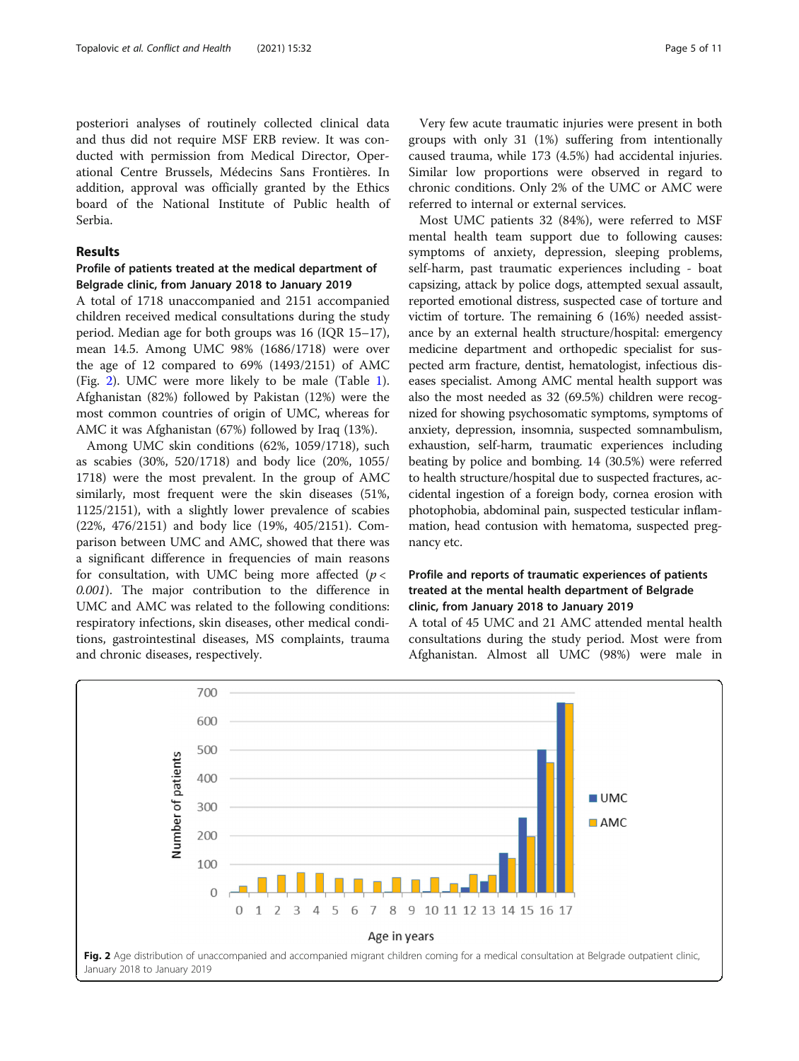posteriori analyses of routinely collected clinical data and thus did not require MSF ERB review. It was conducted with permission from Medical Director, Operational Centre Brussels, Médecins Sans Frontières. In addition, approval was officially granted by the Ethics board of the National Institute of Public health of Serbia.

# Results

# Profile of patients treated at the medical department of Belgrade clinic, from January 2018 to January 2019

A total of 1718 unaccompanied and 2151 accompanied children received medical consultations during the study period. Median age for both groups was 16 (IQR 15–17), mean 14.5. Among UMC 98% (1686/1718) were over the age of 12 compared to 69% (1493/2151) of AMC (Fig. 2). UMC were more likely to be male (Table [1](#page-5-0)). Afghanistan (82%) followed by Pakistan (12%) were the most common countries of origin of UMC, whereas for AMC it was Afghanistan (67%) followed by Iraq (13%).

Among UMC skin conditions (62%, 1059/1718), such as scabies (30%, 520/1718) and body lice (20%, 1055/ 1718) were the most prevalent. In the group of AMC similarly, most frequent were the skin diseases (51%, 1125/2151), with a slightly lower prevalence of scabies (22%, 476/2151) and body lice (19%, 405/2151). Comparison between UMC and AMC, showed that there was a significant difference in frequencies of main reasons for consultation, with UMC being more affected ( $p <$ 0.001). The major contribution to the difference in UMC and AMC was related to the following conditions: respiratory infections, skin diseases, other medical conditions, gastrointestinal diseases, MS complaints, trauma and chronic diseases, respectively.

Very few acute traumatic injuries were present in both groups with only 31 (1%) suffering from intentionally caused trauma, while 173 (4.5%) had accidental injuries. Similar low proportions were observed in regard to chronic conditions. Only 2% of the UMC or AMC were referred to internal or external services.

Most UMC patients 32 (84%), were referred to MSF mental health team support due to following causes: symptoms of anxiety, depression, sleeping problems, self-harm, past traumatic experiences including - boat capsizing, attack by police dogs, attempted sexual assault, reported emotional distress, suspected case of torture and victim of torture. The remaining 6 (16%) needed assistance by an external health structure/hospital: emergency medicine department and orthopedic specialist for suspected arm fracture, dentist, hematologist, infectious diseases specialist. Among AMC mental health support was also the most needed as 32 (69.5%) children were recognized for showing psychosomatic symptoms, symptoms of anxiety, depression, insomnia, suspected somnambulism, exhaustion, self-harm, traumatic experiences including beating by police and bombing. 14 (30.5%) were referred to health structure/hospital due to suspected fractures, accidental ingestion of a foreign body, cornea erosion with photophobia, abdominal pain, suspected testicular inflammation, head contusion with hematoma, suspected pregnancy etc.

# Profile and reports of traumatic experiences of patients treated at the mental health department of Belgrade clinic, from January 2018 to January 2019

A total of 45 UMC and 21 AMC attended mental health consultations during the study period. Most were from Afghanistan. Almost all UMC (98%) were male in

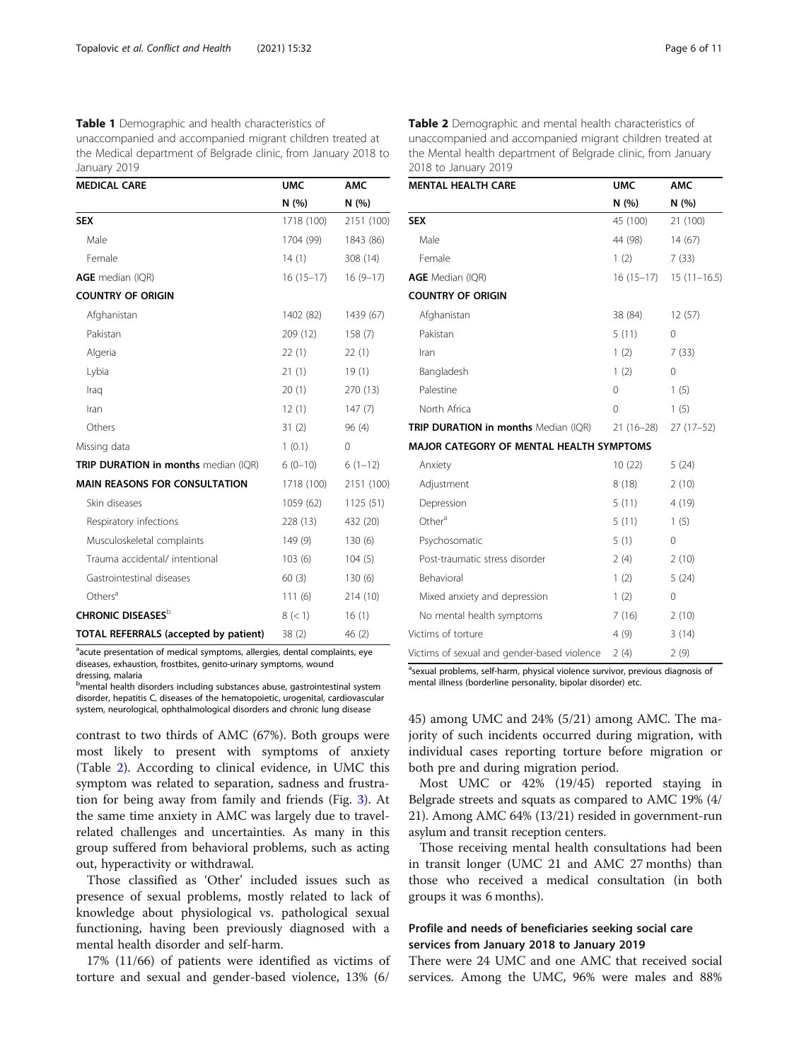<span id="page-5-0"></span>Table 1 Demographic and health characteristics of unaccompanied and accompanied migrant children treated at the Medical department of Belgrade clinic, from January 2018 to January 2019

| <b>MEDICAL CARE</b>                         | <b>UMC</b>  | <b>AMC</b> |  |
|---------------------------------------------|-------------|------------|--|
|                                             | N(%)        | N (%)      |  |
| <b>SEX</b>                                  | 1718 (100)  | 2151 (100) |  |
| Male                                        | 1704 (99)   | 1843 (86)  |  |
| Female                                      | 14(1)       | 308 (14)   |  |
| AGE median (IQR)                            | $16(15-17)$ | $16(9-17)$ |  |
| <b>COUNTRY OF ORIGIN</b>                    |             |            |  |
| Afghanistan                                 | 1402 (82)   | 1439 (67)  |  |
| Pakistan                                    | 209 (12)    | 158(7)     |  |
| Algeria                                     | 22(1)       | 22(1)      |  |
| Lybia                                       | 21(1)       | 19(1)      |  |
| Iraq                                        | 20(1)       | 270 (13)   |  |
| Iran                                        | 12(1)       | 147(7)     |  |
| Others                                      | 31(2)       | 96(4)      |  |
| Missing data                                | 1(0.1)      | 0          |  |
| <b>TRIP DURATION in months</b> median (IQR) | $6(0-10)$   | $6(1-12)$  |  |
| <b>MAIN REASONS FOR CONSULTATION</b>        | 1718 (100)  | 2151 (100) |  |
| Skin diseases                               | 1059 (62)   | 1125(51)   |  |
| Respiratory infections                      | 228 (13)    | 432 (20)   |  |
| Musculoskeletal complaints                  | 149(9)      | 130(6)     |  |
| Trauma accidental/ intentional              | 103(6)      | 104(5)     |  |
| Gastrointestinal diseases                   | 60(3)       | 130(6)     |  |
| Others <sup>a</sup>                         | 111(6)      | 214 (10)   |  |
| <b>CHRONIC DISEASES</b> <sup>b</sup>        | 8 (< 1)     | 16(1)      |  |
| TOTAL REFERRALS (accepted by patient)       | 38(2)       | 46 (2)     |  |

<sup>a</sup>acute presentation of medical symptoms, allergies, dental complaints, eye diseases, exhaustion, frostbites, genito-urinary symptoms, wound dressing, malaria

**bmental health disorders including substances abuse, gastrointestinal system** disorder, hepatitis C, diseases of the hematopoietic, urogenital, cardiovascular system, neurological, ophthalmological disorders and chronic lung disease

contrast to two thirds of AMC (67%). Both groups were most likely to present with symptoms of anxiety (Table 2). According to clinical evidence, in UMC this symptom was related to separation, sadness and frustration for being away from family and friends (Fig. [3](#page-6-0)). At the same time anxiety in AMC was largely due to travelrelated challenges and uncertainties. As many in this group suffered from behavioral problems, such as acting out, hyperactivity or withdrawal.

Those classified as 'Other' included issues such as presence of sexual problems, mostly related to lack of knowledge about physiological vs. pathological sexual functioning, having been previously diagnosed with a mental health disorder and self-harm.

17% (11/66) of patients were identified as victims of torture and sexual and gender-based violence, 13% (6/ Table 2 Demographic and mental health characteristics of unaccompanied and accompanied migrant children treated at the Mental health department of Belgrade clinic, from January 2018 to January 2019

| <b>MENTAL HEALTH CARE</b>                   | <b>UMC</b>  | <b>AMC</b>               |
|---------------------------------------------|-------------|--------------------------|
|                                             | N (%)       | N(%)                     |
| <b>SEX</b>                                  | 45 (100)    | 21 (100)                 |
| Male                                        | 44 (98)     | 14(67)                   |
| Female                                      | 1(2)        | 7(33)                    |
| AGE Median (IQR)                            |             | $16(15-17)$ 15 (11-16.5) |
| <b>COUNTRY OF ORIGIN</b>                    |             |                          |
| Afghanistan                                 | 38 (84)     | 12(57)                   |
| Pakistan                                    | 5(11)       | 0                        |
| Iran                                        | 1(2)        | 7(33)                    |
| Bangladesh                                  | 1(2)        | 0                        |
| Palestine                                   | $\mathbf 0$ | 1(5)                     |
| North Africa                                | $\Omega$    | 1(5)                     |
| TRIP DURATION in months Median (IQR)        | $21(16-28)$ | $27(17-52)$              |
| MAJOR CATEGORY OF MENTAL HEALTH SYMPTOMS    |             |                          |
| Anxiety                                     | 10(22)      | 5(24)                    |
| Adjustment                                  | 8(18)       | 2(10)                    |
| Depression                                  | 5(11)       | 4(19)                    |
| Other <sup>a</sup>                          | 5(11)       | 1(5)                     |
| Psychosomatic                               | 5(1)        | 0                        |
| Post-traumatic stress disorder              | 2(4)        | 2(10)                    |
| Behavioral                                  | 1(2)        | 5(24)                    |
| Mixed anxiety and depression                | 1(2)        | 0                        |
| No mental health symptoms                   | 7(16)       | 2(10)                    |
| Victims of torture                          | 4(9)        | 3(14)                    |
| Victims of sexual and gender-based violence | 2(4)        | 2(9)                     |

<sup>a</sup>sexual problems, self-harm, physical violence survivor, previous diagnosis of mental illness (borderline personality, bipolar disorder) etc.

45) among UMC and 24% (5/21) among AMC. The majority of such incidents occurred during migration, with individual cases reporting torture before migration or both pre and during migration period.

Most UMC or 42% (19/45) reported staying in Belgrade streets and squats as compared to AMC 19% (4/ 21). Among AMC 64% (13/21) resided in government-run asylum and transit reception centers.

Those receiving mental health consultations had been in transit longer (UMC 21 and AMC 27 months) than those who received a medical consultation (in both groups it was 6 months).

# Profile and needs of beneficiaries seeking social care services from January 2018 to January 2019

There were 24 UMC and one AMC that received social services. Among the UMC, 96% were males and 88%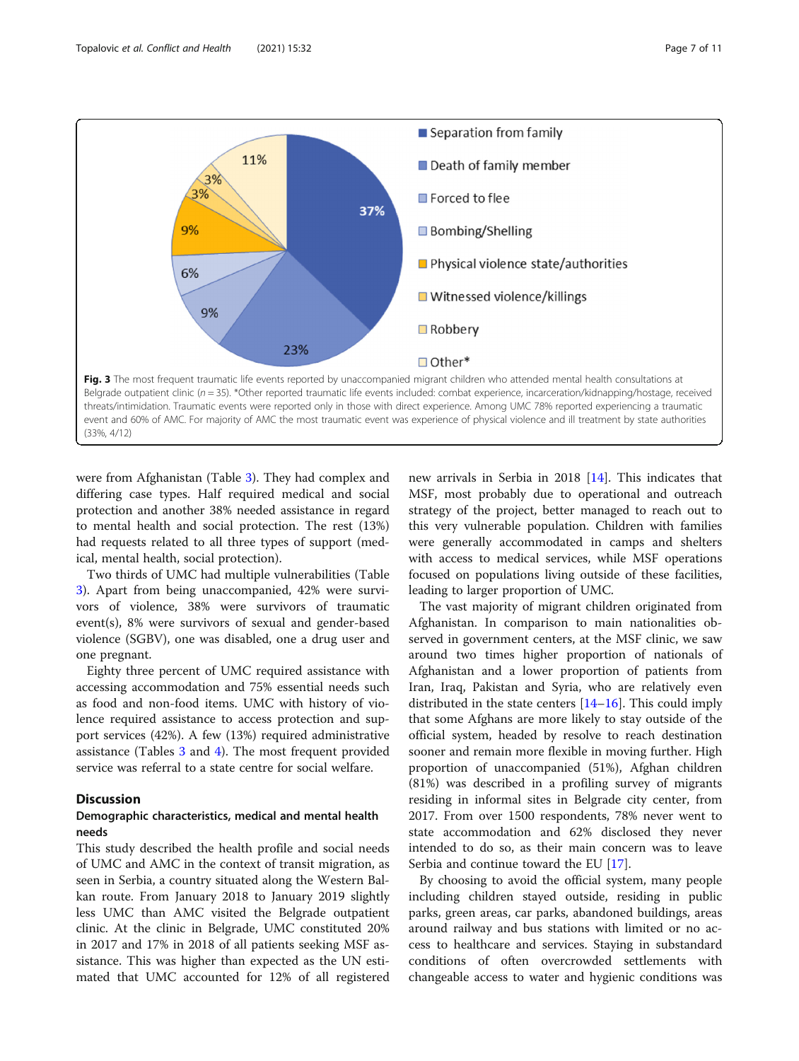<span id="page-6-0"></span>

were from Afghanistan (Table [3\)](#page-7-0). They had complex and differing case types. Half required medical and social protection and another 38% needed assistance in regard to mental health and social protection. The rest (13%) had requests related to all three types of support (medical, mental health, social protection).

Two thirds of UMC had multiple vulnerabilities (Table [3\)](#page-7-0). Apart from being unaccompanied, 42% were survivors of violence, 38% were survivors of traumatic event(s), 8% were survivors of sexual and gender-based violence (SGBV), one was disabled, one a drug user and one pregnant.

Eighty three percent of UMC required assistance with accessing accommodation and 75% essential needs such as food and non-food items. UMC with history of violence required assistance to access protection and support services (42%). A few (13%) required administrative assistance (Tables [3](#page-7-0) and [4\)](#page-7-0). The most frequent provided service was referral to a state centre for social welfare.

# **Discussion**

# Demographic characteristics, medical and mental health needs

This study described the health profile and social needs of UMC and AMC in the context of transit migration, as seen in Serbia, a country situated along the Western Balkan route. From January 2018 to January 2019 slightly less UMC than AMC visited the Belgrade outpatient clinic. At the clinic in Belgrade, UMC constituted 20% in 2017 and 17% in 2018 of all patients seeking MSF assistance. This was higher than expected as the UN estimated that UMC accounted for 12% of all registered

new arrivals in Serbia in 2018 [[14](#page-10-0)]. This indicates that MSF, most probably due to operational and outreach strategy of the project, better managed to reach out to this very vulnerable population. Children with families were generally accommodated in camps and shelters with access to medical services, while MSF operations focused on populations living outside of these facilities, leading to larger proportion of UMC.

The vast majority of migrant children originated from Afghanistan. In comparison to main nationalities observed in government centers, at the MSF clinic, we saw around two times higher proportion of nationals of Afghanistan and a lower proportion of patients from Iran, Iraq, Pakistan and Syria, who are relatively even distributed in the state centers  $[14–16]$  $[14–16]$  $[14–16]$ . This could imply that some Afghans are more likely to stay outside of the official system, headed by resolve to reach destination sooner and remain more flexible in moving further. High proportion of unaccompanied (51%), Afghan children (81%) was described in a profiling survey of migrants residing in informal sites in Belgrade city center, from 2017. From over 1500 respondents, 78% never went to state accommodation and 62% disclosed they never intended to do so, as their main concern was to leave Serbia and continue toward the EU [[17](#page-10-0)].

By choosing to avoid the official system, many people including children stayed outside, residing in public parks, green areas, car parks, abandoned buildings, areas around railway and bus stations with limited or no access to healthcare and services. Staying in substandard conditions of often overcrowded settlements with changeable access to water and hygienic conditions was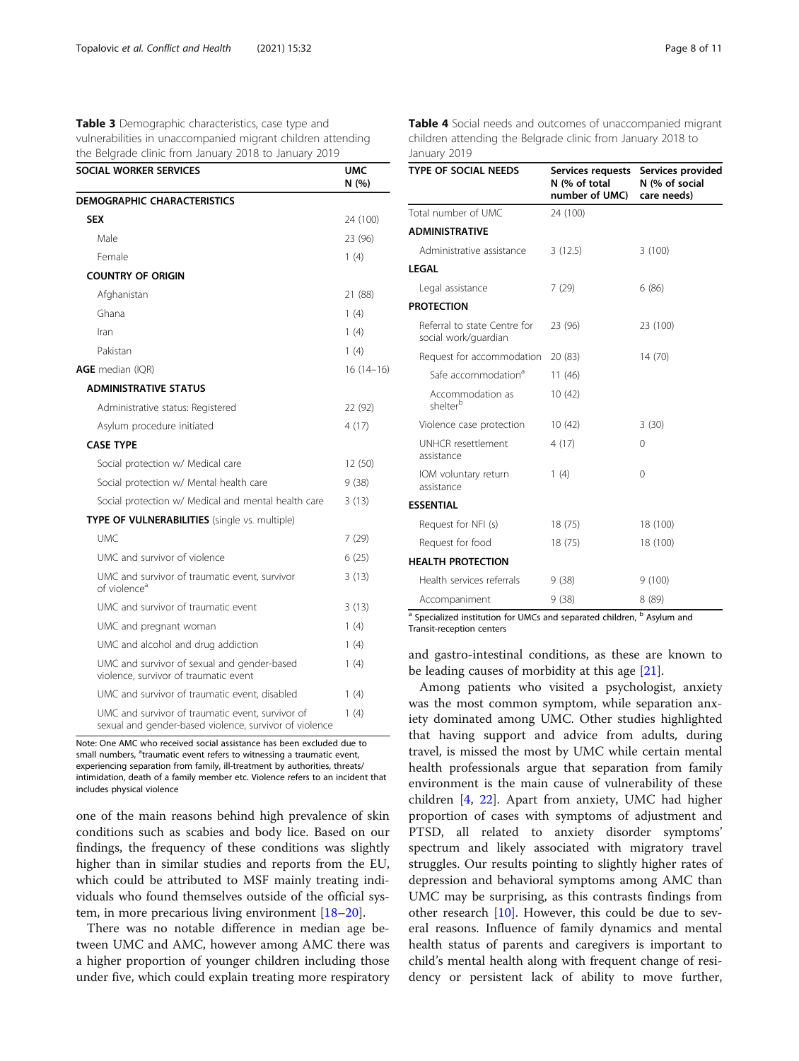<span id="page-7-0"></span>Table 3 Demographic characteristics, case type and vulnerabilities in unaccompanied migrant children attending the Belgrade clinic from January 2018 to January 2019

| SOCIAL WORKER SERVICES                                                                                     | <b>UMC</b><br>N(%) |
|------------------------------------------------------------------------------------------------------------|--------------------|
| <b>DEMOGRAPHIC CHARACTERISTICS</b>                                                                         |                    |
| <b>SEX</b>                                                                                                 | 24 (100)           |
| Male                                                                                                       | 23 (96)            |
| Female                                                                                                     | 1(4)               |
| <b>COUNTRY OF ORIGIN</b>                                                                                   |                    |
| Afghanistan                                                                                                | 21 (88)            |
| Ghana                                                                                                      | 1(4)               |
| Iran                                                                                                       | 1(4)               |
| Pakistan                                                                                                   | 1(4)               |
| <b>AGE</b> median (IQR)                                                                                    | 16 (14–16)         |
| <b>ADMINISTRATIVE STATUS</b>                                                                               |                    |
| Administrative status: Registered                                                                          | 22 (92)            |
| Asylum procedure initiated                                                                                 | 4 (17)             |
| <b>CASE TYPE</b>                                                                                           |                    |
| Social protection w/ Medical care                                                                          | 12 (50)            |
| Social protection w/ Mental health care                                                                    | 9 (38)             |
| Social protection w/ Medical and mental health care                                                        | 3(13)              |
| TYPE OF VULNERABILITIES (single vs. multiple)                                                              |                    |
| <b>UMC</b>                                                                                                 | 7 (29)             |
| UMC and survivor of violence                                                                               | 6(25)              |
| UMC and survivor of traumatic event, survivor<br>of violence <sup>a</sup>                                  | 3(13)              |
| UMC and survivor of traumatic event                                                                        | 3(13)              |
| UMC and pregnant woman                                                                                     | 1(4)               |
| UMC and alcohol and drug addiction                                                                         | 1(4)               |
| UMC and survivor of sexual and gender-based<br>violence, survivor of traumatic event                       | 1(4)               |
| UMC and survivor of traumatic event, disabled                                                              | 1(4)               |
| UMC and survivor of traumatic event, survivor of<br>sexual and gender-based violence, survivor of violence | 1(4)               |

Note: One AMC who received social assistance has been excluded due to small numbers, <sup>a</sup>traumatic event refers to witnessing a traumatic event, experiencing separation from family, ill-treatment by authorities, threats/ intimidation, death of a family member etc. Violence refers to an incident that includes physical violence

one of the main reasons behind high prevalence of skin conditions such as scabies and body lice. Based on our findings, the frequency of these conditions was slightly higher than in similar studies and reports from the EU, which could be attributed to MSF mainly treating individuals who found themselves outside of the official system, in more precarious living environment [[18](#page-10-0)–[20](#page-10-0)].

There was no notable difference in median age between UMC and AMC, however among AMC there was a higher proportion of younger children including those under five, which could explain treating more respiratory Table 4 Social needs and outcomes of unaccompanied migrant children attending the Belgrade clinic from January 2018 to January 2019

| <b>TYPE OF SOCIAL NEEDS</b>                          | Services requests<br>N (% of total<br>number of UMC) | Services provided<br>N (% of social<br>care needs) |
|------------------------------------------------------|------------------------------------------------------|----------------------------------------------------|
| Total number of UMC                                  | 24 (100)                                             |                                                    |
| <b>ADMINISTRATIVE</b>                                |                                                      |                                                    |
| Administrative assistance                            | 3(12.5)                                              | 3(100)                                             |
| LEGAL                                                |                                                      |                                                    |
| Legal assistance                                     | 7(29)                                                | 6(86)                                              |
| <b>PROTECTION</b>                                    |                                                      |                                                    |
| Referral to state Centre for<br>social work/guardian | 23 (96)                                              | 23 (100)                                           |
| Request for accommodation                            | 20 (83)                                              | 14(70)                                             |
| Safe accommodation <sup>a</sup>                      | 11(46)                                               |                                                    |
| Accommodation as<br>shelterb                         | 10(42)                                               |                                                    |
| Violence case protection                             | 10(42)                                               | 3(30)                                              |
| <b>UNHCR</b> resettlement<br>assistance              | 4(17)                                                | 0                                                  |
| IOM voluntary return<br>assistance                   | 1(4)                                                 | $\Omega$                                           |
| <b>ESSENTIAL</b>                                     |                                                      |                                                    |
| Request for NFI (s)                                  | 18(75)                                               | 18 (100)                                           |
| Request for food                                     | 18 (75)                                              | 18 (100)                                           |
| <b>HEALTH PROTECTION</b>                             |                                                      |                                                    |
| Health services referrals                            | 9(38)                                                | 9(100)                                             |
| Accompaniment                                        | 9(38)                                                | 8(89)                                              |

<sup>a</sup> Specialized institution for UMCs and separated children, <sup>b</sup> Asylum and Transit-reception centers

and gastro-intestinal conditions, as these are known to be leading causes of morbidity at this age [\[21\]](#page-10-0).

Among patients who visited a psychologist, anxiety was the most common symptom, while separation anxiety dominated among UMC. Other studies highlighted that having support and advice from adults, during travel, is missed the most by UMC while certain mental health professionals argue that separation from family environment is the main cause of vulnerability of these children [[4,](#page-10-0) [22](#page-10-0)]. Apart from anxiety, UMC had higher proportion of cases with symptoms of adjustment and PTSD, all related to anxiety disorder symptoms' spectrum and likely associated with migratory travel struggles. Our results pointing to slightly higher rates of depression and behavioral symptoms among AMC than UMC may be surprising, as this contrasts findings from other research [\[10](#page-10-0)]. However, this could be due to several reasons. Influence of family dynamics and mental health status of parents and caregivers is important to child's mental health along with frequent change of residency or persistent lack of ability to move further,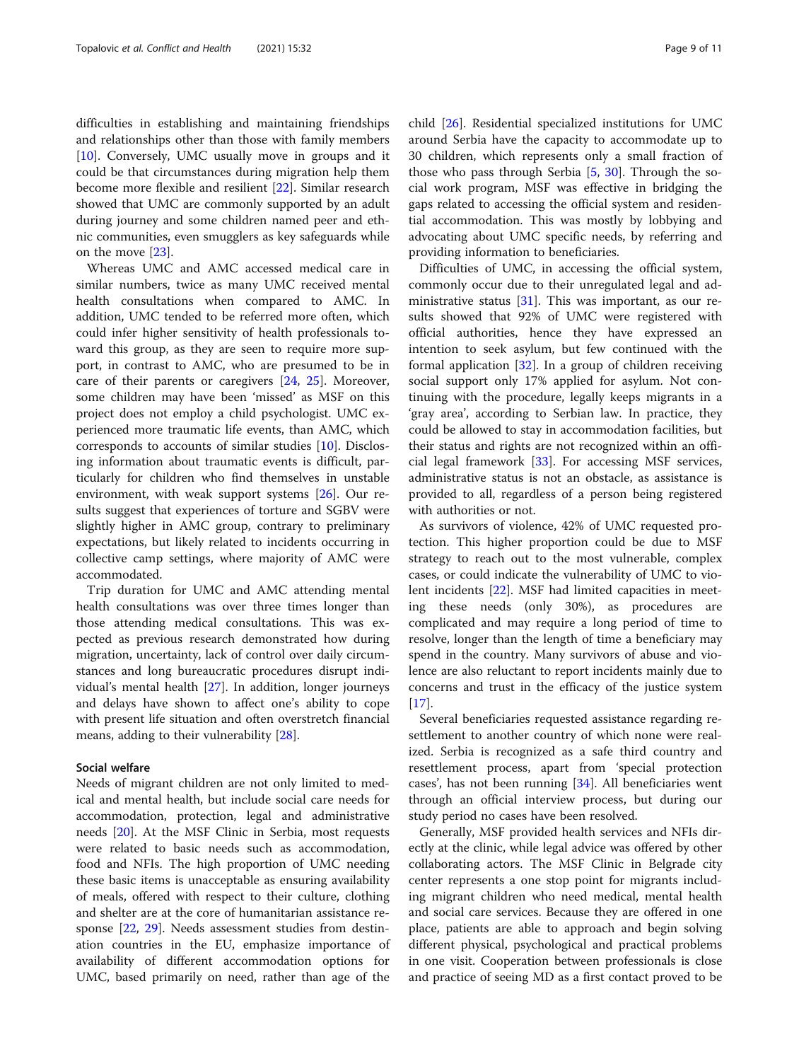difficulties in establishing and maintaining friendships and relationships other than those with family members [[10\]](#page-10-0). Conversely, UMC usually move in groups and it could be that circumstances during migration help them become more flexible and resilient [[22\]](#page-10-0). Similar research showed that UMC are commonly supported by an adult during journey and some children named peer and ethnic communities, even smugglers as key safeguards while on the move [\[23](#page-10-0)].

Whereas UMC and AMC accessed medical care in similar numbers, twice as many UMC received mental health consultations when compared to AMC. In addition, UMC tended to be referred more often, which could infer higher sensitivity of health professionals toward this group, as they are seen to require more support, in contrast to AMC, who are presumed to be in care of their parents or caregivers [[24,](#page-10-0) [25](#page-10-0)]. Moreover, some children may have been 'missed' as MSF on this project does not employ a child psychologist. UMC experienced more traumatic life events, than AMC, which corresponds to accounts of similar studies [[10\]](#page-10-0). Disclosing information about traumatic events is difficult, particularly for children who find themselves in unstable environment, with weak support systems [\[26\]](#page-10-0). Our results suggest that experiences of torture and SGBV were slightly higher in AMC group, contrary to preliminary expectations, but likely related to incidents occurring in collective camp settings, where majority of AMC were accommodated.

Trip duration for UMC and AMC attending mental health consultations was over three times longer than those attending medical consultations. This was expected as previous research demonstrated how during migration, uncertainty, lack of control over daily circumstances and long bureaucratic procedures disrupt individual's mental health [[27\]](#page-10-0). In addition, longer journeys and delays have shown to affect one's ability to cope with present life situation and often overstretch financial means, adding to their vulnerability [\[28](#page-10-0)].

# Social welfare

Needs of migrant children are not only limited to medical and mental health, but include social care needs for accommodation, protection, legal and administrative needs [\[20\]](#page-10-0). At the MSF Clinic in Serbia, most requests were related to basic needs such as accommodation, food and NFIs. The high proportion of UMC needing these basic items is unacceptable as ensuring availability of meals, offered with respect to their culture, clothing and shelter are at the core of humanitarian assistance response [[22,](#page-10-0) [29\]](#page-10-0). Needs assessment studies from destination countries in the EU, emphasize importance of availability of different accommodation options for UMC, based primarily on need, rather than age of the child [\[26](#page-10-0)]. Residential specialized institutions for UMC around Serbia have the capacity to accommodate up to 30 children, which represents only a small fraction of those who pass through Serbia  $[5, 30]$  $[5, 30]$  $[5, 30]$ . Through the social work program, MSF was effective in bridging the gaps related to accessing the official system and residential accommodation. This was mostly by lobbying and advocating about UMC specific needs, by referring and providing information to beneficiaries.

Difficulties of UMC, in accessing the official system, commonly occur due to their unregulated legal and administrative status  $[31]$  $[31]$ . This was important, as our results showed that 92% of UMC were registered with official authorities, hence they have expressed an intention to seek asylum, but few continued with the formal application [[32\]](#page-10-0). In a group of children receiving social support only 17% applied for asylum. Not continuing with the procedure, legally keeps migrants in a 'gray area', according to Serbian law. In practice, they could be allowed to stay in accommodation facilities, but their status and rights are not recognized within an official legal framework [\[33](#page-10-0)]. For accessing MSF services, administrative status is not an obstacle, as assistance is provided to all, regardless of a person being registered with authorities or not.

As survivors of violence, 42% of UMC requested protection. This higher proportion could be due to MSF strategy to reach out to the most vulnerable, complex cases, or could indicate the vulnerability of UMC to violent incidents [[22\]](#page-10-0). MSF had limited capacities in meeting these needs (only 30%), as procedures are complicated and may require a long period of time to resolve, longer than the length of time a beneficiary may spend in the country. Many survivors of abuse and violence are also reluctant to report incidents mainly due to concerns and trust in the efficacy of the justice system  $[17]$  $[17]$ .

Several beneficiaries requested assistance regarding resettlement to another country of which none were realized. Serbia is recognized as a safe third country and resettlement process, apart from 'special protection cases', has not been running [\[34\]](#page-10-0). All beneficiaries went through an official interview process, but during our study period no cases have been resolved.

Generally, MSF provided health services and NFIs directly at the clinic, while legal advice was offered by other collaborating actors. The MSF Clinic in Belgrade city center represents a one stop point for migrants including migrant children who need medical, mental health and social care services. Because they are offered in one place, patients are able to approach and begin solving different physical, psychological and practical problems in one visit. Cooperation between professionals is close and practice of seeing MD as a first contact proved to be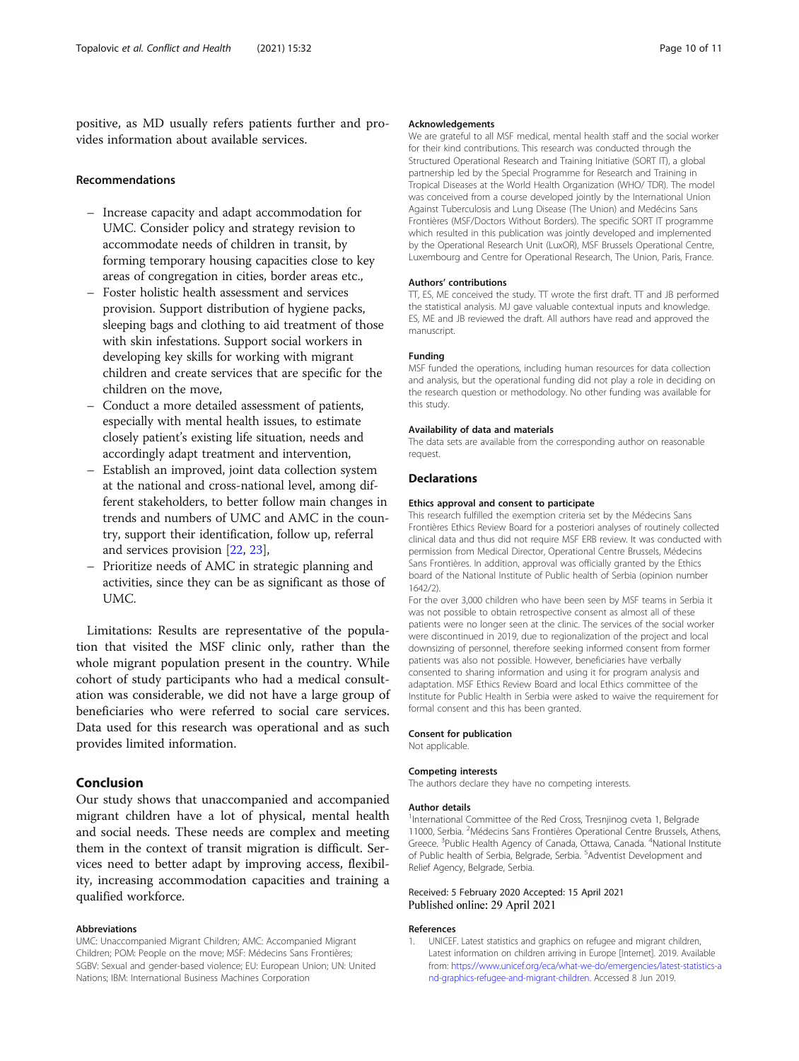<span id="page-9-0"></span>positive, as MD usually refers patients further and provides information about available services.

#### Recommendations

- Increase capacity and adapt accommodation for UMC. Consider policy and strategy revision to accommodate needs of children in transit, by forming temporary housing capacities close to key areas of congregation in cities, border areas etc.,
- Foster holistic health assessment and services provision. Support distribution of hygiene packs, sleeping bags and clothing to aid treatment of those with skin infestations. Support social workers in developing key skills for working with migrant children and create services that are specific for the children on the move,
- Conduct a more detailed assessment of patients, especially with mental health issues, to estimate closely patient's existing life situation, needs and accordingly adapt treatment and intervention,
- Establish an improved, joint data collection system at the national and cross-national level, among different stakeholders, to better follow main changes in trends and numbers of UMC and AMC in the country, support their identification, follow up, referral and services provision [[22](#page-10-0), [23\]](#page-10-0),
- Prioritize needs of AMC in strategic planning and activities, since they can be as significant as those of UMC.

Limitations: Results are representative of the population that visited the MSF clinic only, rather than the whole migrant population present in the country. While cohort of study participants who had a medical consultation was considerable, we did not have a large group of beneficiaries who were referred to social care services. Data used for this research was operational and as such provides limited information.

# Conclusion

Our study shows that unaccompanied and accompanied migrant children have a lot of physical, mental health and social needs. These needs are complex and meeting them in the context of transit migration is difficult. Services need to better adapt by improving access, flexibility, increasing accommodation capacities and training a qualified workforce.

#### Abbreviations

UMC: Unaccompanied Migrant Children; AMC: Accompanied Migrant Children; POM: People on the move; MSF: Médecins Sans Frontières; SGBV: Sexual and gender-based violence; EU: European Union; UN: United Nations; IBM: International Business Machines Corporation

#### Acknowledgements

We are grateful to all MSF medical, mental health staff and the social worker for their kind contributions. This research was conducted through the Structured Operational Research and Training Initiative (SORT IT), a global partnership led by the Special Programme for Research and Training in Tropical Diseases at the World Health Organization (WHO/ TDR). The model was conceived from a course developed jointly by the International Union Against Tuberculosis and Lung Disease (The Union) and Medécins Sans Frontières (MSF/Doctors Without Borders). The specific SORT IT programme which resulted in this publication was jointly developed and implemented by the Operational Research Unit (LuxOR), MSF Brussels Operational Centre, Luxembourg and Centre for Operational Research, The Union, Paris, France.

#### Authors' contributions

TT, ES, ME conceived the study. TT wrote the first draft. TT and JB performed the statistical analysis. MJ gave valuable contextual inputs and knowledge. ES, ME and JB reviewed the draft. All authors have read and approved the manuscript.

# Funding

MSF funded the operations, including human resources for data collection and analysis, but the operational funding did not play a role in deciding on the research question or methodology. No other funding was available for this study.

#### Availability of data and materials

The data sets are available from the corresponding author on reasonable request.

#### **Declarations**

#### Ethics approval and consent to participate

This research fulfilled the exemption criteria set by the Médecins Sans Frontières Ethics Review Board for a posteriori analyses of routinely collected clinical data and thus did not require MSF ERB review. It was conducted with permission from Medical Director, Operational Centre Brussels, Médecins Sans Frontières. In addition, approval was officially granted by the Ethics board of the National Institute of Public health of Serbia (opinion number 1642/2).

For the over 3,000 children who have been seen by MSF teams in Serbia it was not possible to obtain retrospective consent as almost all of these patients were no longer seen at the clinic. The services of the social worker were discontinued in 2019, due to regionalization of the project and local downsizing of personnel, therefore seeking informed consent from former patients was also not possible. However, beneficiaries have verbally consented to sharing information and using it for program analysis and adaptation. MSF Ethics Review Board and local Ethics committee of the Institute for Public Health in Serbia were asked to waive the requirement for formal consent and this has been granted.

#### Consent for publication

Not applicable.

#### Competing interests

The authors declare they have no competing interests.

#### Author details

<sup>1</sup>International Committee of the Red Cross, Tresnjinog cveta 1, Belgrade 11000, Serbia. <sup>2</sup>Médecins Sans Frontières Operational Centre Brussels, Athens, Greece. <sup>3</sup>Public Health Agency of Canada, Ottawa, Canada. <sup>4</sup>National Institute of Public health of Serbia, Belgrade, Serbia. <sup>5</sup>Adventist Development and Relief Agency, Belgrade, Serbia.

# Received: 5 February 2020 Accepted: 15 April 2021 Published online: 29 April 2021

#### References

1. UNICEF. Latest statistics and graphics on refugee and migrant children, Latest information on children arriving in Europe [Internet]. 2019. Available from: [https://www.unicef.org/eca/what-we-do/emergencies/latest-statistics-a](https://www.unicef.org/eca/what-we-do/emergencies/latest-statistics-and-graphics-refugee-and-migrant-children) [nd-graphics-refugee-and-migrant-children.](https://www.unicef.org/eca/what-we-do/emergencies/latest-statistics-and-graphics-refugee-and-migrant-children) Accessed 8 Jun 2019.